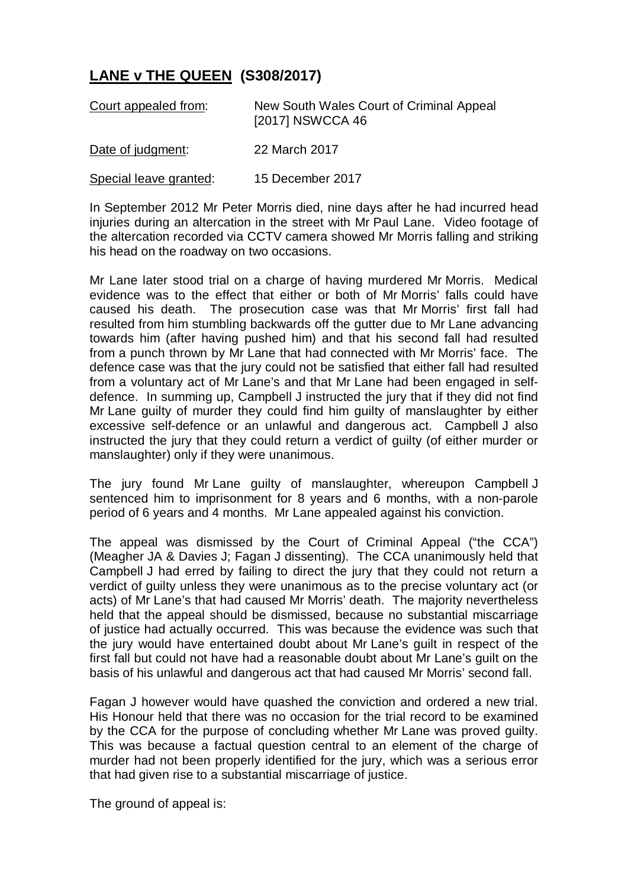## **LANE v THE QUEEN (S308/2017)**

| Court appealed from:   | New South Wales Court of Criminal Appeal<br>[2017] NSWCCA 46 |
|------------------------|--------------------------------------------------------------|
| Date of judgment:      | 22 March 2017                                                |
| Special leave granted: | 15 December 2017                                             |

In September 2012 Mr Peter Morris died, nine days after he had incurred head injuries during an altercation in the street with Mr Paul Lane. Video footage of the altercation recorded via CCTV camera showed Mr Morris falling and striking his head on the roadway on two occasions.

Mr Lane later stood trial on a charge of having murdered Mr Morris. Medical evidence was to the effect that either or both of Mr Morris' falls could have caused his death. The prosecution case was that Mr Morris' first fall had resulted from him stumbling backwards off the gutter due to Mr Lane advancing towards him (after having pushed him) and that his second fall had resulted from a punch thrown by Mr Lane that had connected with Mr Morris' face. The defence case was that the jury could not be satisfied that either fall had resulted from a voluntary act of Mr Lane's and that Mr Lane had been engaged in selfdefence. In summing up, Campbell J instructed the jury that if they did not find Mr Lane guilty of murder they could find him guilty of manslaughter by either excessive self-defence or an unlawful and dangerous act. Campbell J also instructed the jury that they could return a verdict of guilty (of either murder or manslaughter) only if they were unanimous.

The jury found Mr Lane guilty of manslaughter, whereupon Campbell J sentenced him to imprisonment for 8 years and 6 months, with a non-parole period of 6 years and 4 months. Mr Lane appealed against his conviction.

The appeal was dismissed by the Court of Criminal Appeal ("the CCA") (Meagher JA & Davies J; Fagan J dissenting). The CCA unanimously held that Campbell J had erred by failing to direct the jury that they could not return a verdict of guilty unless they were unanimous as to the precise voluntary act (or acts) of Mr Lane's that had caused Mr Morris' death. The majority nevertheless held that the appeal should be dismissed, because no substantial miscarriage of justice had actually occurred. This was because the evidence was such that the jury would have entertained doubt about Mr Lane's guilt in respect of the first fall but could not have had a reasonable doubt about Mr Lane's guilt on the basis of his unlawful and dangerous act that had caused Mr Morris' second fall.

Fagan J however would have quashed the conviction and ordered a new trial. His Honour held that there was no occasion for the trial record to be examined by the CCA for the purpose of concluding whether Mr Lane was proved guilty. This was because a factual question central to an element of the charge of murder had not been properly identified for the jury, which was a serious error that had given rise to a substantial miscarriage of justice.

The ground of appeal is: